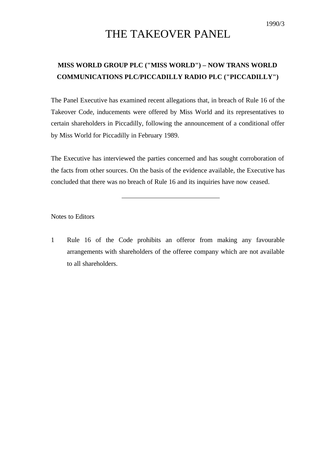## THE TAKEOVER PANEL

## **MISS WORLD GROUP PLC ("MISS WORLD") – NOW TRANS WORLD COMMUNICATIONS PLC/PICCADILLY RADIO PLC ("PICCADILLY")**

The Panel Executive has examined recent allegations that, in breach of Rule 16 of the Takeover Code, inducements were offered by Miss World and its representatives to certain shareholders in Piccadilly, following the announcement of a conditional offer by Miss World for Piccadilly in February 1989.

The Executive has interviewed the parties concerned and has sought corroboration of the facts from other sources. On the basis of the evidence available, the Executive has concluded that there was no breach of Rule 16 and its inquiries have now ceased.

Notes to Editors

1 Rule 16 of the Code prohibits an offeror from making any favourable arrangements with shareholders of the offeree company which are not available to all shareholders.